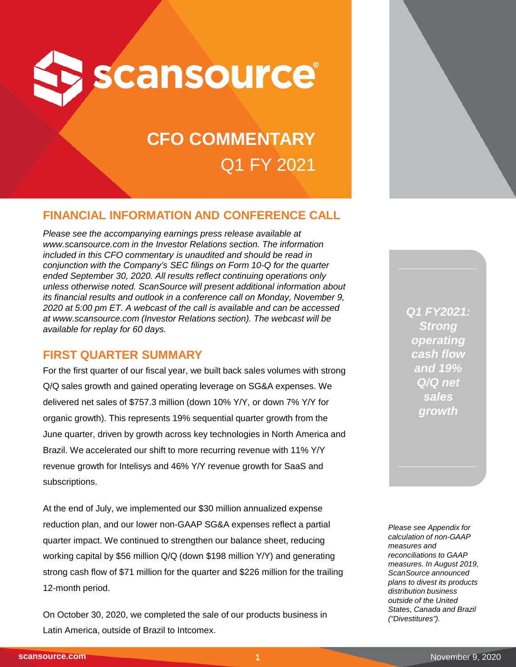

# **CFO COMMENTARY** Q1 FY 2021

# **FINANCIAL INFORMATION AND CONFERENCE CALL**

*Please see the accompanying earnings press release available at www.scansource.com in the Investor Relations section. The information included in this CFO commentary is unaudited and should be read in conjunction with the Company's SEC filings on Form 10-Q for the quarter ended September 30, 2020. All results reflect continuing operations only unless otherwise noted. ScanSource will present additional information about its financial results and outlook in a conference call on Monday, November 9, 2020 at 5:00 pm ET. A webcast of the call is available and can be accessed at www.scansource.com (Investor Relations section). The webcast will be available for replay for 60 days.*

## **FIRST QUARTER SUMMARY**

For the first quarter of our fiscal year, we built back sales volumes with strong Q/Q sales growth and gained operating leverage on SG&A expenses. We delivered net sales of \$757.3 million (down 10% Y/Y, or down 7% Y/Y for organic growth). This represents 19% sequential quarter growth from the June quarter, driven by growth across key technologies in North America and Brazil. We accelerated our shift to more recurring revenue with 11% Y/Y revenue growth for Intelisys and 46% Y/Y revenue growth for SaaS and subscriptions.

At the end of July, we implemented our \$30 million annualized expense reduction plan, and our lower non-GAAP SG&A expenses reflect a partial quarter impact. We continued to strengthen our balance sheet, reducing working capital by \$56 million Q/Q (down \$198 million Y/Y) and generating strong cash flow of \$71 million for the quarter and \$226 million for the trailing 12-month period.

On October 30, 2020, we completed the sale of our products business in Latin America, outside of Brazil to Intcomex.

*Q1 FY2021: Strong operating cash flow and 19% Q/Q net sales growth*

*Please see Appendix for calculation of non-GAAP measures and reconciliations to GAAP measures. In August 2019, ScanSource announced plans to divest its products distribution business outside of the United States, Canada and Brazil ("Divestitures").*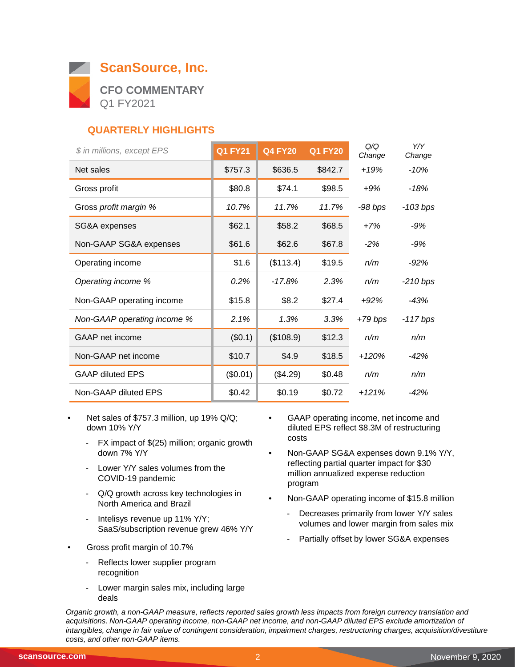

# **QUARTERLY HIGHLIGHTS**

| \$ in millions, except EPS  | <b>Q1 FY21</b> | <b>Q4 FY20</b> | <b>Q1 FY20</b> | Q/Q<br>Change | Y/Y<br>Change |
|-----------------------------|----------------|----------------|----------------|---------------|---------------|
| Net sales                   | \$757.3        | \$636.5        | \$842.7        | $+19%$        | $-10%$        |
| Gross profit                | \$80.8         | \$74.1         | \$98.5         | $+9%$         | -18%          |
| Gross profit margin %       | 10.7%          | 11.7%          | 11.7%          | -98 bps       | $-103 bps$    |
| SG&A expenses               | \$62.1         | \$58.2         | \$68.5         | $+7%$         | $-9%$         |
| Non-GAAP SG&A expenses      | \$61.6         | \$62.6         | \$67.8         | $-2%$         | $-9%$         |
| Operating income            | \$1.6          | (\$113.4)      | \$19.5         | n/m           | $-92%$        |
| Operating income %          | 0.2%           | $-17.8%$       | 2.3%           | n/m           | $-210$ bps    |
| Non-GAAP operating income   | \$15.8         | \$8.2          | \$27.4         | $+92%$        | -43%          |
| Non-GAAP operating income % | 2.1%           | 1.3%           | 3.3%           | $+79$ bps     | $-117$ bps    |
| GAAP net income             | (\$0.1)        | (\$108.9)      | \$12.3         | n/m           | n/m           |
| Non-GAAP net income         | \$10.7         | \$4.9          | \$18.5         | $+120%$       | $-42%$        |
| <b>GAAP diluted EPS</b>     | (\$0.01)       | (\$4.29)       | \$0.48         | n/m           | n/m           |
| Non-GAAP diluted EPS        | \$0.42         | \$0.19         | \$0.72         | $+121%$       | $-42%$        |

- Net sales of \$757.3 million, up 19% Q/Q; down 10% Y/Y
	- FX impact of \$(25) million; organic growth down 7% Y/Y
	- Lower Y/Y sales volumes from the COVID-19 pandemic
	- Q/Q growth across key technologies in North America and Brazil
	- Intelisys revenue up 11% Y/Y; SaaS/subscription revenue grew 46% Y/Y
- Gross profit margin of 10.7%
	- Reflects lower supplier program recognition
	- Lower margin sales mix, including large deals
- GAAP operating income, net income and diluted EPS reflect \$8.3M of restructuring costs
- Non-GAAP SG&A expenses down 9.1% Y/Y, reflecting partial quarter impact for \$30 million annualized expense reduction program
- Non-GAAP operating income of \$15.8 million
	- Decreases primarily from lower Y/Y sales volumes and lower margin from sales mix
	- Partially offset by lower SG&A expenses

 $\overline{\phantom{0}}$ 

*Organic growth, a non-GAAP measure, reflects reported sales growth less impacts from foreign currency translation and acquisitions. Non-GAAP operating income, non-GAAP net income, and non-GAAP diluted EPS exclude amortization of intangibles, change in fair value of contingent consideration, impairment charges, restructuring charges, acquisition/divestiture costs, and other non-GAAP items.*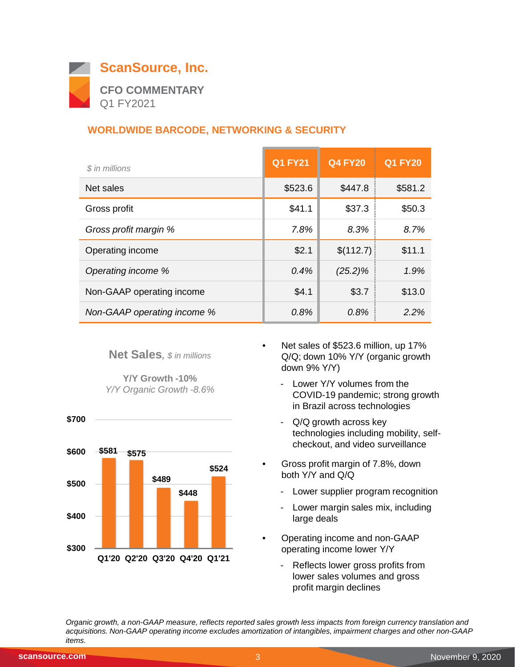

# **WORLDWIDE BARCODE, NETWORKING & SECURITY**

| \$ in millions              | <b>Q1 FY21</b> | <b>Q4 FY20</b> | <b>Q1 FY20</b> |
|-----------------------------|----------------|----------------|----------------|
| Net sales                   | \$523.6        | \$447.8        | \$581.2        |
| Gross profit                | \$41.1         | \$37.3         | \$50.3         |
| Gross profit margin %       | 7.8%           | 8.3%           | 8.7%           |
| Operating income            | \$2.1          | \$(112.7)      | \$11.1         |
| Operating income %          | 0.4%           | $(25.2)\%$     | 1.9%           |
| Non-GAAP operating income   | \$4.1          | \$3.7          | \$13.0         |
| Non-GAAP operating income % | 0.8%           | 0.8%           | 2.2%           |

**Net Sales***, \$ in millions*

**Y/Y Growth -10%** *Y/Y Organic Growth -8.6%*



- Net sales of \$523.6 million, up 17% Q/Q; down 10% Y/Y (organic growth down 9% Y/Y)
	- Lower Y/Y volumes from the COVID-19 pandemic; strong growth in Brazil across technologies
	- Q/Q growth across key technologies including mobility, selfcheckout, and video surveillance
- Gross profit margin of 7.8%, down both Y/Y and Q/Q
	- Lower supplier program recognition
	- Lower margin sales mix, including large deals
- Operating income and non-GAAP operating income lower Y/Y
	- Reflects lower gross profits from lower sales volumes and gross profit margin declines

*Organic growth, a non-GAAP measure, reflects reported sales growth less impacts from foreign currency translation and acquisitions. Non-GAAP operating income excludes amortization of intangibles, impairment charges and other non-GAAP items.*

 **\$700**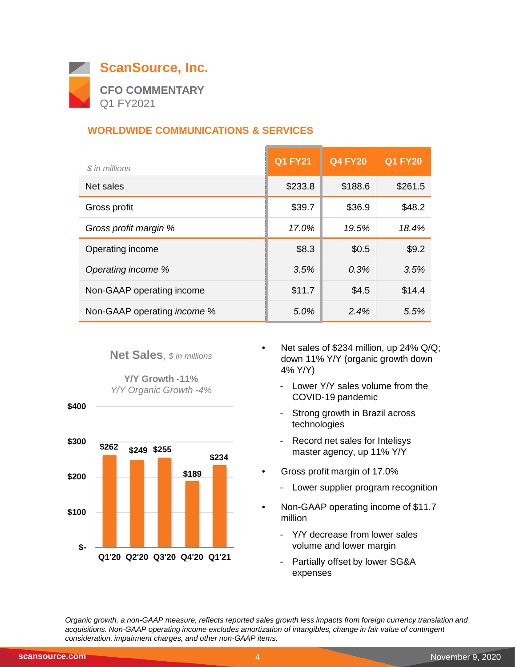

# **WORLDWIDE COMMUNICATIONS & SERVICES**

| \$ in millions                     | <b>Q1 FY21</b> | <b>Q4 FY20</b> | <b>Q1 FY20</b> |
|------------------------------------|----------------|----------------|----------------|
| Net sales                          | \$233.8        | \$188.6        | \$261.5        |
| Gross profit                       | \$39.7         | \$36.9         | \$48.2         |
| Gross profit margin %              | 17.0%          | 19.5%          | 18.4%          |
| Operating income                   | \$8.3          | \$0.5          | \$9.2          |
| Operating income %                 | 3.5%           | 0.3%           | 3.5%           |
| Non-GAAP operating income          | \$11.7         | \$4.5          | \$14.4         |
| Non-GAAP operating <i>income</i> % | 5.0%           | 2.4%           | 5.5%           |

#### **Net Sales***, \$ in millions*

**Y/Y Growth -11%** *Y/Y Organic Growth -4%*



- Net sales of \$234 million, up 24% Q/Q; down 11% Y/Y (organic growth down 4% Y/Y)
	- Lower Y/Y sales volume from the COVID-19 pandemic
	- Strong growth in Brazil across technologies
	- Record net sales for Intelisys master agency, up 11% Y/Y
- Gross profit margin of 17.0%
	- Lower supplier program recognition
- Non-GAAP operating income of \$11.7 million
	- Y/Y decrease from lower sales volume and lower margin
	- Partially offset by lower SG&A expenses

*Organic growth, a non-GAAP measure, reflects reported sales growth less impacts from foreign currency translation and acquisitions. Non-GAAP operating income excludes amortization of intangibles, change in fair value of contingent consideration, impairment charges, and other non-GAAP items.*

 **\$400**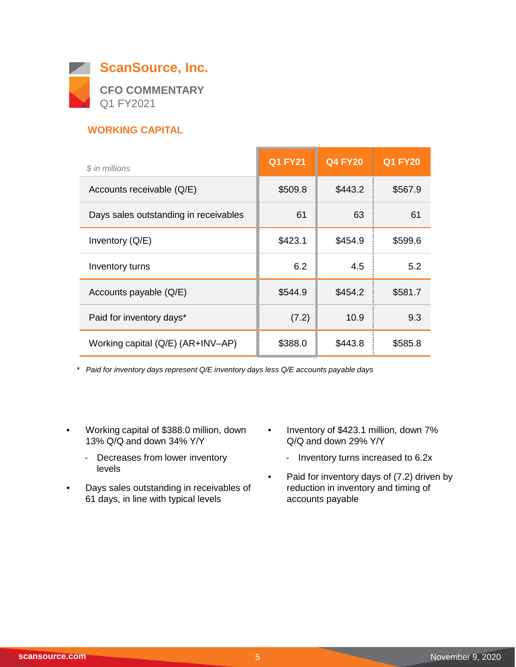

# **WORKING CAPITAL**

| \$ in millions                        | <b>Q1 FY21</b> | <b>Q4 FY20</b> | <b>Q1 FY20</b> |
|---------------------------------------|----------------|----------------|----------------|
| Accounts receivable (Q/E)             | \$509.8        | \$443.2        | \$567.9        |
| Days sales outstanding in receivables | 61             | 63             | 61             |
| Inventory $(Q/E)$                     | \$423.1        | \$454.9        | \$599.6        |
| Inventory turns                       | 6.2            | 4.5            | 5.2            |
| Accounts payable (Q/E)                | \$544.9        | \$454.2        | \$581.7        |
| Paid for inventory days*              | (7.2)          | 10.9           | 9.3            |
| Working capital (Q/E) (AR+INV-AP)     | \$388.0        | \$443.8        | \$585.8        |

*\* Paid for inventory days represent Q/E inventory days less Q/E accounts payable days*

- Working capital of \$388.0 million, down 13% Q/Q and down 34% Y/Y
	- Decreases from lower inventory levels
- Days sales outstanding in receivables of 61 days, in line with typical levels
- Inventory of \$423.1 million, down 7% Q/Q and down 29% Y/Y
	- Inventory turns increased to 6.2x
- Paid for inventory days of (7.2) driven by reduction in inventory and timing of accounts payable

 $\overline{\phantom{0}}$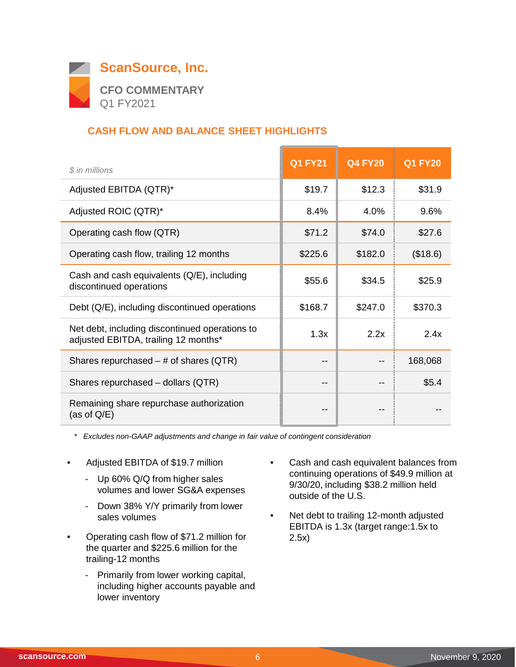

# **CASH FLOW AND BALANCE SHEET HIGHLIGHTS**

| \$ in millions                                                                         | <b>Q1 FY21</b> | <b>Q4 FY20</b> | <b>Q1 FY20</b> |
|----------------------------------------------------------------------------------------|----------------|----------------|----------------|
| Adjusted EBITDA (QTR)*                                                                 | \$19.7         | \$12.3         | \$31.9         |
| Adjusted ROIC (QTR)*                                                                   | 8.4%           | 4.0%           | 9.6%           |
| Operating cash flow (QTR)                                                              | \$71.2         | \$74.0         | \$27.6         |
| Operating cash flow, trailing 12 months                                                | \$225.6        | \$182.0        | (\$18.6)       |
| Cash and cash equivalents (Q/E), including<br>discontinued operations                  | \$55.6         | \$34.5         | \$25.9         |
| Debt (Q/E), including discontinued operations                                          | \$168.7        | \$247.0        | \$370.3        |
| Net debt, including discontinued operations to<br>adjusted EBITDA, trailing 12 months* | 1.3x           | 2.2x           | 2.4x           |
| Shares repurchased $-$ # of shares (QTR)                                               | --             |                | 168,068        |
| Shares repurchased - dollars (QTR)                                                     | --             |                | \$5.4          |
| Remaining share repurchase authorization<br>(as of $Q/E$ )                             | --             |                |                |

*\* Excludes non-GAAP adjustments and change in fair value of contingent consideration*

- Adjusted EBITDA of \$19.7 million
	- Up 60% Q/Q from higher sales volumes and lower SG&A expenses
	- Down 38% Y/Y primarily from lower sales volumes
- Operating cash flow of \$71.2 million for the quarter and \$225.6 million for the trailing-12 months
	- Primarily from lower working capital, including higher accounts payable and lower inventory
- Cash and cash equivalent balances from continuing operations of \$49.9 million at 9/30/20, including \$38.2 million held outside of the U.S.
- Net debt to trailing 12-month adjusted EBITDA is 1.3x (target range:1.5x to 2.5x)

 $\overline{\phantom{0}}$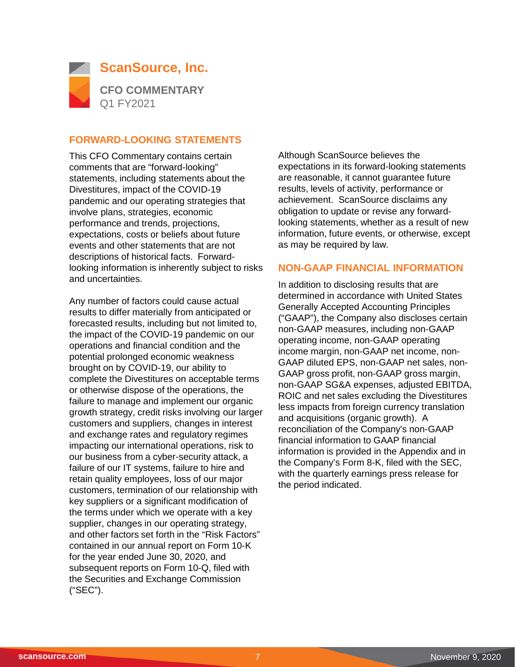

#### **FORWARD-LOOKING STATEMENTS**

This CFO Commentary contains certain comments that are "forward-looking" statements, including statements about the Divestitures, impact of the COVID-19 pandemic and our operating strategies that involve plans, strategies, economic performance and trends, projections, expectations, costs or beliefs about future events and other statements that are not descriptions of historical facts. Forwardlooking information is inherently subject to risks and uncertainties.

Any number of factors could cause actual results to differ materially from anticipated or forecasted results, including but not limited to, the impact of the COVID-19 pandemic on our operations and financial condition and the potential prolonged economic weakness brought on by COVID-19, our ability to complete the Divestitures on acceptable terms or otherwise dispose of the operations, the failure to manage and implement our organic growth strategy, credit risks involving our larger customers and suppliers, changes in interest and exchange rates and regulatory regimes impacting our international operations, risk to our business from a cyber-security attack, a failure of our IT systems, failure to hire and retain quality employees, loss of our major customers, termination of our relationship with key suppliers or a significant modification of the terms under which we operate with a key supplier, changes in our operating strategy, and other factors set forth in the "Risk Factors" contained in our annual report on Form 10-K for the year ended June 30, 2020, and subsequent reports on Form 10-Q, filed with the Securities and Exchange Commission ("SEC").

Although ScanSource believes the expectations in its forward-looking statements are reasonable, it cannot guarantee future results, levels of activity, performance or achievement. ScanSource disclaims any obligation to update or revise any forwardlooking statements, whether as a result of new information, future events, or otherwise, except as may be required by law.

#### **NON-GAAP FINANCIAL INFORMATION**

In addition to disclosing results that are determined in accordance with United States Generally Accepted Accounting Principles ("GAAP"), the Company also discloses certain non-GAAP measures, including non-GAAP operating income, non-GAAP operating income margin, non-GAAP net income, non-GAAP diluted EPS, non-GAAP net sales, non-GAAP gross profit, non-GAAP gross margin, non-GAAP SG&A expenses, adjusted EBITDA, ROIC and net sales excluding the Divestitures less impacts from foreign currency translation and acquisitions (organic growth). A reconciliation of the Company's non-GAAP financial information to GAAP financial information is provided in the Appendix and in the Company's Form 8-K, filed with the SEC, with the quarterly earnings press release for the period indicated.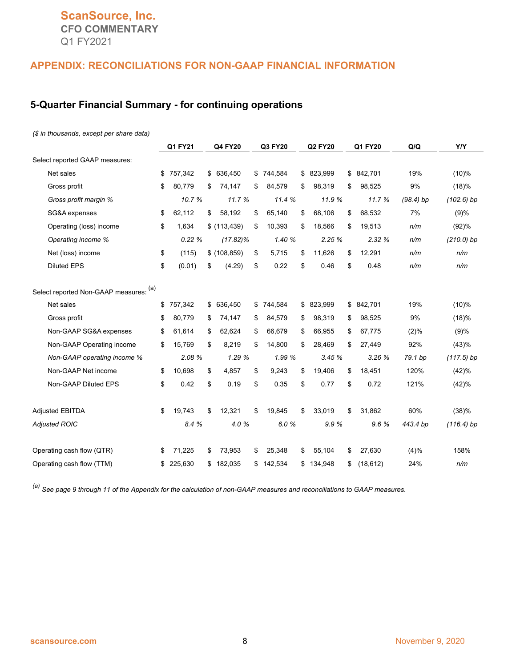# **ScanSource, Inc. CFO COMMENTARY** Q1 FY2021

#### **APPENDIX: RECONCILIATIONS FOR NON-GAAP FINANCIAL INFORMATION**

#### **5-Quarter Financial Summary - for continuing operations**

#### *(\$ in thousands, except per share data)*

|                                        | Q4 FY20<br>Q3 FY20<br>Q1 FY21 |         | Q2 FY20       | Q1 FY20       | Q/Q          | <b>Y/Y</b>      |             |              |
|----------------------------------------|-------------------------------|---------|---------------|---------------|--------------|-----------------|-------------|--------------|
| Select reported GAAP measures:         |                               |         |               |               |              |                 |             |              |
| Net sales                              | \$                            | 757,342 | \$<br>636,450 | \$<br>744,584 | \$ 823,999   | \$842,701       | 19%         | $(10)\%$     |
| Gross profit                           | \$                            | 80,779  | \$<br>74,147  | \$<br>84,579  | \$<br>98,319 | \$<br>98,525    | 9%          | (18)%        |
| Gross profit margin %                  |                               | 10.7%   | 11.7 %        | 11.4 %        | 11.9 %       | 11.7 %          | $(98.4)$ bp | $(102.6)$ bp |
| SG&A expenses                          | \$                            | 62.112  | \$<br>58,192  | \$<br>65.140  | \$<br>68.106 | \$<br>68.532    | 7%          | (9)%         |
| Operating (loss) income                | \$                            | 1,634   | \$(113, 439)  | \$<br>10,393  | \$<br>18,566 | \$<br>19,513    | n/m         | (92)%        |
| Operating income %                     |                               | 0.22%   | $(17.82)\%$   | 1.40 %        | 2.25%        | 2.32%           | n/m         | $(210.0)$ bp |
| Net (loss) income                      | \$                            | (115)   | \$(108, 859)  | \$<br>5,715   | \$<br>11,626 | \$<br>12,291    | n/m         | n/m          |
| <b>Diluted EPS</b>                     | \$                            | (0.01)  | \$<br>(4.29)  | \$<br>0.22    | \$<br>0.46   | \$<br>0.48      | n/m         | n/m          |
| Select reported Non-GAAP measures: (a) |                               |         |               |               |              |                 |             |              |
| Net sales                              | \$                            | 757,342 | \$<br>636,450 | \$<br>744,584 | \$ 823,999   | \$ 842,701      | 19%         | (10)%        |
| Gross profit                           | \$                            | 80,779  | \$<br>74,147  | \$<br>84,579  | \$<br>98,319 | \$<br>98,525    | 9%          | (18)%        |
| Non-GAAP SG&A expenses                 | \$                            | 61,614  | \$<br>62,624  | \$<br>66,679  | \$<br>66.955 | \$<br>67,775    | (2)%        | (9)%         |
| Non-GAAP Operating income              | \$                            | 15,769  | \$<br>8,219   | \$<br>14,800  | \$<br>28,469 | \$<br>27,449    | 92%         | (43)%        |
| Non-GAAP operating income %            |                               | 2.08 %  | 1.29 %        | 1.99 %        | 3.45%        | 3.26%           | 79.1 bp     | $(117.5)$ bp |
| Non-GAAP Net income                    | \$                            | 10,698  | \$<br>4,857   | \$<br>9,243   | \$<br>19,406 | \$<br>18,451    | 120%        | (42)%        |
| Non-GAAP Diluted EPS                   | \$                            | 0.42    | \$<br>0.19    | \$<br>0.35    | \$<br>0.77   | \$<br>0.72      | 121%        | (42)%        |
| <b>Adjusted EBITDA</b>                 | \$                            | 19.743  | \$<br>12,321  | \$<br>19,845  | \$<br>33,019 | \$<br>31,862    | 60%         | (38)%        |
| <b>Adjusted ROIC</b>                   |                               | 8.4 %   | 4.0%          | 6.0%          | 9.9%         | 9.6%            | 443.4 bp    | $(116.4)$ bp |
| Operating cash flow (QTR)              | \$                            | 71,225  | \$<br>73,953  | \$<br>25,348  | \$<br>55,104 | \$<br>27,630    | (4)%        | 158%         |
| Operating cash flow (TTM)              | \$                            | 225,630 | \$<br>182,035 | \$<br>142,534 | \$134,948    | \$<br>(18, 612) | 24%         | n/m          |

*(a) See page 9 through 11 of the Appendix for the calculation of non-GAAP measures and reconciliations to GAAP measures.*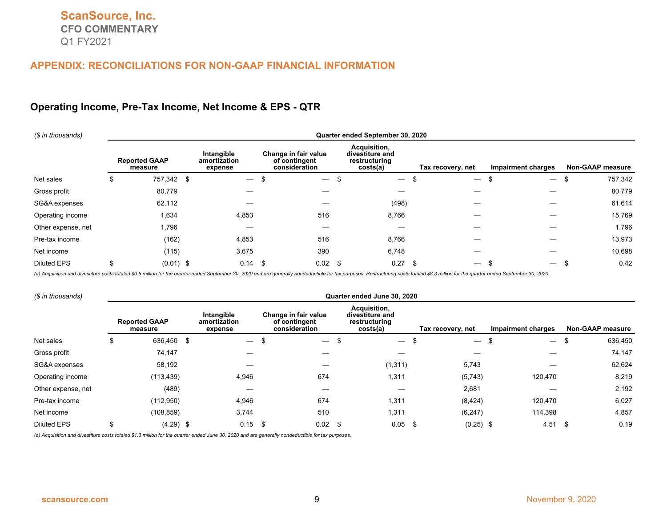#### **Operating Income, Pre-Tax Income, Net Income & EPS - QTR**

| (\$ in thousands)  | Quarter ended September 30, 2020 |      |                                       |     |                                                        |      |                                                              |  |                                     |                          |  |                         |
|--------------------|----------------------------------|------|---------------------------------------|-----|--------------------------------------------------------|------|--------------------------------------------------------------|--|-------------------------------------|--------------------------|--|-------------------------|
|                    | <b>Reported GAAP</b><br>measure  |      | Intangible<br>amortization<br>expense |     | Change in fair value<br>of contingent<br>consideration |      | Acquisition,<br>divestiture and<br>restructuring<br>costs(a) |  | Tax recovery, net                   | Impairment charges       |  | <b>Non-GAAP measure</b> |
| Net sales          | \$<br>757,342                    | - \$ |                                       | -\$ | $\overline{\phantom{0}}$                               | \$   | $\overline{\phantom{0}}$                                     |  | \$<br>$\overbrace{\phantom{12333}}$ | $\overline{\phantom{0}}$ |  | 757,342                 |
| Gross profit       | 80,779                           |      |                                       |     |                                                        |      |                                                              |  |                                     |                          |  | 80,779                  |
| SG&A expenses      | 62,112                           |      |                                       |     |                                                        |      | (498)                                                        |  |                                     |                          |  | 61,614                  |
| Operating income   | 1,634                            |      | 4,853                                 |     | 516                                                    |      | 8,766                                                        |  |                                     |                          |  | 15,769                  |
| Other expense, net | 1,796                            |      |                                       |     |                                                        |      |                                                              |  |                                     |                          |  | 1,796                   |
| Pre-tax income     | (162)                            |      | 4,853                                 |     | 516                                                    |      | 8,766                                                        |  |                                     |                          |  | 13,973                  |
| Net income         | (115)                            |      | 3,675                                 |     | 390                                                    |      | 6,748                                                        |  |                                     |                          |  | 10,698                  |
| <b>Diluted EPS</b> | \$<br>$(0.01)$ \$                |      | $0.14$ \$                             |     | 0.02                                                   | - \$ | 0.27                                                         |  | \$<br>$\overline{\phantom{0}}$      |                          |  | 0.42                    |

(a) Acquisition and divestiture costs totaled \$0.5 million for the quarter ended September 30, 2020 and are generally nondeductible for tax purposes. Restructuring costs totaled \$8.3 million for the quarter ended September

| (\$ in thousands)  | Quarter ended June 30, 2020 |                                 |    |                                       |    |                                                        |  |                                                              |      |                               |                                     |                         |
|--------------------|-----------------------------|---------------------------------|----|---------------------------------------|----|--------------------------------------------------------|--|--------------------------------------------------------------|------|-------------------------------|-------------------------------------|-------------------------|
|                    |                             | <b>Reported GAAP</b><br>measure |    | Intangible<br>amortization<br>expense |    | Change in fair value<br>of contingent<br>consideration |  | Acquisition,<br>divestiture and<br>restructuring<br>costs(a) |      | Tax recovery, net             | Impairment charges                  | <b>Non-GAAP measure</b> |
| Net sales          |                             | 636,450                         | \$ |                                       | \$ |                                                        |  | $\overline{\phantom{0}}$                                     |      | $\overline{\phantom{0}}$<br>ъ | \$<br>$\overbrace{\phantom{13333}}$ | 636,450                 |
| Gross profit       |                             | 74,147                          |    |                                       |    |                                                        |  |                                                              |      |                               |                                     | 74,147                  |
| SG&A expenses      |                             | 58,192                          |    |                                       |    |                                                        |  | (1, 311)                                                     |      | 5,743                         |                                     | 62,624                  |
| Operating income   |                             | (113, 439)                      |    | 4,946                                 |    | 674                                                    |  | 1,311                                                        |      | (5,743)                       | 120,470                             | 8,219                   |
| Other expense, net |                             | (489)                           |    |                                       |    | —                                                      |  |                                                              |      | 2,681                         |                                     | 2,192                   |
| Pre-tax income     |                             | (112,950)                       |    | 4,946                                 |    | 674                                                    |  | 1,311                                                        |      | (8, 424)                      | 120,470                             | 6,027                   |
| Net income         |                             | (108, 859)                      |    | 3,744                                 |    | 510                                                    |  | 1,311                                                        |      | (6, 247)                      | 114,398                             | 4,857                   |
| <b>Diluted EPS</b> |                             | $(4.29)$ \$                     |    | $0.15$ \$                             |    | $0.02$ \$                                              |  | 0.05                                                         | - \$ | $(0.25)$ \$                   | 4.51                                | 0.19<br>- \$            |

*(a) Acquisition and divestiture costs totaled \$1.3 million for the quarter ended June 30, 2020 and are generally nondeductible for tax purposes.*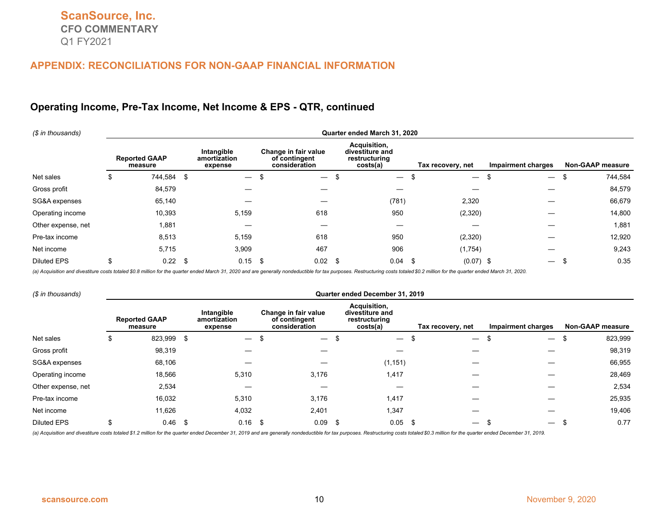#### **Operating Income, Pre-Tax Income, Net Income & EPS - QTR, continued**

| (\$ in thousands)  | Quarter ended March 31, 2020 |                                 |     |                                       |   |                                                        |   |                                                              |  |                                  |                          |                  |
|--------------------|------------------------------|---------------------------------|-----|---------------------------------------|---|--------------------------------------------------------|---|--------------------------------------------------------------|--|----------------------------------|--------------------------|------------------|
|                    |                              | <b>Reported GAAP</b><br>measure |     | Intangible<br>amortization<br>expense |   | Change in fair value<br>of contingent<br>consideration |   | Acquisition,<br>divestiture and<br>restructuring<br>costs(a) |  | Tax recovery, net                | Impairment charges       | Non-GAAP measure |
| Net sales          | \$                           | 744,584                         | \$  | $\overline{\phantom{0}}$              | £ |                                                        |   | $\overline{\phantom{m}}$                                     |  | $\overline{\phantom{m}}$<br>- 55 | $\overline{\phantom{m}}$ | 744,584<br>ъ     |
| Gross profit       |                              | 84,579                          |     |                                       |   |                                                        |   |                                                              |  |                                  |                          | 84,579           |
| SG&A expenses      |                              | 65,140                          |     |                                       |   |                                                        |   | (781)                                                        |  | 2,320                            |                          | 66,679           |
| Operating income   |                              | 10,393                          |     | 5,159                                 |   | 618                                                    |   | 950                                                          |  | (2,320)                          |                          | 14,800           |
| Other expense, net |                              | 1,881                           |     |                                       |   |                                                        |   |                                                              |  |                                  |                          | 1,881            |
| Pre-tax income     |                              | 8,513                           |     | 5,159                                 |   | 618                                                    |   | 950                                                          |  | (2,320)                          |                          | 12,920           |
| Net income         |                              | 5,715                           |     | 3,909                                 |   | 467                                                    |   | 906                                                          |  | (1,754)                          |                          | 9,243            |
| <b>Diluted EPS</b> | \$                           | 0.22                            | -\$ | $0.15$ \$                             |   | 0.02                                                   | ъ | 0.04                                                         |  | -\$<br>$(0.07)$ \$               | $\overline{\phantom{0}}$ | 0.35             |

(a) Acquisition and divestiture costs totaled \$0.8 million for the quarter ended March 31, 2020 and are generally nondeductible for tax purposes. Restructuring costs totaled \$0.2 million for the quarter ended March 31, 202

| (\$ in thousands)  | Quarter ended December 31, 2019 |                                 |     |                                       |      |                                                        |  |                                                              |  |                                      |                           |                         |
|--------------------|---------------------------------|---------------------------------|-----|---------------------------------------|------|--------------------------------------------------------|--|--------------------------------------------------------------|--|--------------------------------------|---------------------------|-------------------------|
|                    |                                 | <b>Reported GAAP</b><br>measure |     | Intangible<br>amortization<br>expense |      | Change in fair value<br>of contingent<br>consideration |  | Acquisition,<br>divestiture and<br>restructuring<br>costs(a) |  | Tax recovery, net                    | <b>Impairment charges</b> | <b>Non-GAAP measure</b> |
| Net sales          | S                               | 823,999                         | \$  | $\overline{\phantom{0}}$              | £    | $\overline{\phantom{0}}$                               |  | $\overline{\phantom{m}}$                                     |  | $\overline{\phantom{0}}$             | $\overline{\phantom{0}}$  | 823,999                 |
| Gross profit       |                                 | 98,319                          |     |                                       |      |                                                        |  |                                                              |  |                                      |                           | 98,319                  |
| SG&A expenses      |                                 | 68,106                          |     |                                       |      |                                                        |  | (1, 151)                                                     |  |                                      |                           | 66,955                  |
| Operating income   |                                 | 18,566                          |     | 5,310                                 |      | 3,176                                                  |  | 1,417                                                        |  |                                      |                           | 28,469                  |
| Other expense, net |                                 | 2,534                           |     |                                       |      |                                                        |  |                                                              |  |                                      |                           | 2,534                   |
| Pre-tax income     |                                 | 16,032                          |     | 5,310                                 |      | 3,176                                                  |  | 1,417                                                        |  |                                      |                           | 25,935                  |
| Net income         |                                 | 11,626                          |     | 4,032                                 |      | 2,401                                                  |  | 1,347                                                        |  |                                      |                           | 19,406                  |
| <b>Diluted EPS</b> | \$                              | 0.46                            | -\$ | 0.16                                  | - \$ | $0.09$ \$                                              |  | 0.05                                                         |  | -\$<br>$\overbrace{\phantom{13333}}$ |                           | 0.77                    |

(a) Acquisition and divestiture costs totaled \$1.2 million for the quarter ended December 31, 2019 and are generally nondeductible for tax purposes. Restructuring costs totaled \$0.3 million for the quarter ended December 3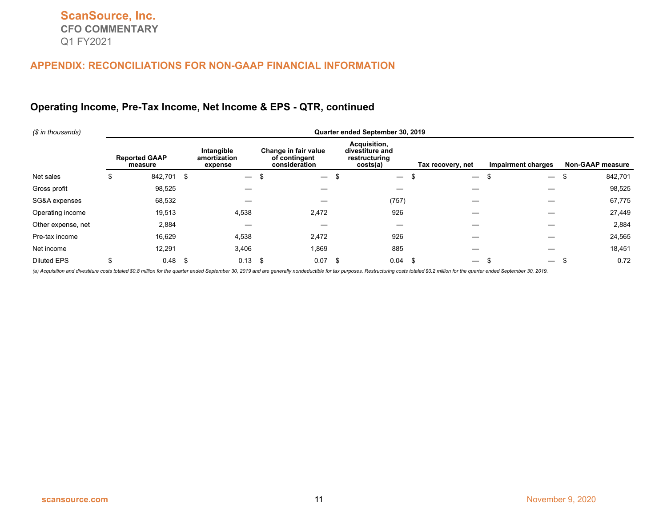## **Operating Income, Pre-Tax Income, Net Income & EPS - QTR, continued**

| (\$ in thousands)  | Quarter ended September 30, 2019 |                                 |     |                                       |      |                                                        |      |                                                              |  |                                |                                |                         |
|--------------------|----------------------------------|---------------------------------|-----|---------------------------------------|------|--------------------------------------------------------|------|--------------------------------------------------------------|--|--------------------------------|--------------------------------|-------------------------|
|                    |                                  | <b>Reported GAAP</b><br>measure |     | Intangible<br>amortization<br>expense |      | Change in fair value<br>of contingent<br>consideration |      | Acquisition,<br>divestiture and<br>restructuring<br>costs(a) |  | Tax recovery, net              | Impairment charges             | <b>Non-GAAP measure</b> |
| Net sales          |                                  | 842,701                         | \$  |                                       | ъ    | $\hspace{0.1mm}-\hspace{0.1mm}$                        | Ъ.   | $\overline{\phantom{m}}$                                     |  | ä.                             | \$<br>$\overline{\phantom{m}}$ | 842,701<br>\$           |
| Gross profit       |                                  | 98,525                          |     |                                       |      |                                                        |      |                                                              |  |                                |                                | 98,525                  |
| SG&A expenses      |                                  | 68,532                          |     |                                       |      |                                                        |      | (757)                                                        |  |                                |                                | 67,775                  |
| Operating income   |                                  | 19,513                          |     | 4,538                                 |      | 2,472                                                  |      | 926                                                          |  |                                |                                | 27,449                  |
| Other expense, net |                                  | 2,884                           |     |                                       |      | —                                                      |      |                                                              |  |                                |                                | 2,884                   |
| Pre-tax income     |                                  | 16,629                          |     | 4,538                                 |      | 2,472                                                  |      | 926                                                          |  |                                |                                | 24,565                  |
| Net income         |                                  | 12,291                          |     | 3,406                                 |      | 1,869                                                  |      | 885                                                          |  |                                |                                | 18,451                  |
| <b>Diluted EPS</b> |                                  | 0.48                            | -\$ | 0.13                                  | - \$ | 0.07                                                   | - \$ | 0.04                                                         |  | \$<br>$\overline{\phantom{0}}$ | $\overline{\phantom{m}}$       | 0.72                    |

(a) Acquisition and divestiture costs totaled \$0.8 million for the quarter ended September 30, 2019 and are generally nondeductible for tax purposes. Restructuring costs totaled \$0.2 million for the quarter ended September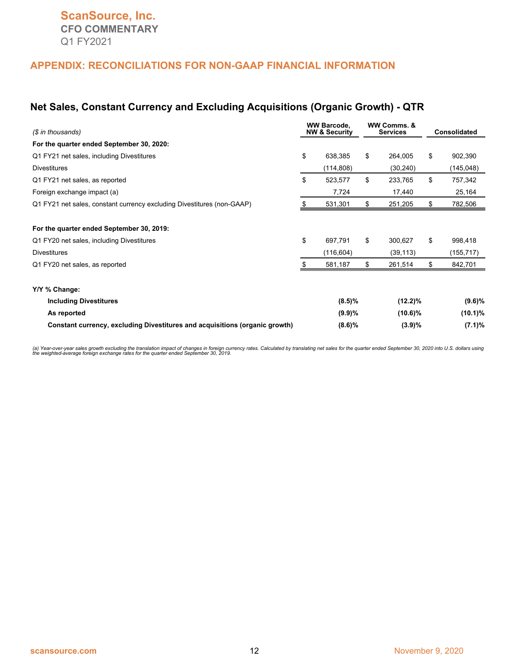#### **Net Sales, Constant Currency and Excluding Acquisitions (Organic Growth) - QTR**

| (\$ in thousands)                                                                                             | <b>WW Barcode.</b><br><b>NW &amp; Security</b> | WW Comms, &<br><b>Services</b> | Consolidated                |  |
|---------------------------------------------------------------------------------------------------------------|------------------------------------------------|--------------------------------|-----------------------------|--|
| For the quarter ended September 30, 2020:                                                                     |                                                |                                |                             |  |
| Q1 FY21 net sales, including Divestitures                                                                     | \$<br>638,385                                  | \$<br>264,005                  | \$<br>902,390               |  |
| <b>Divestitures</b>                                                                                           | (114, 808)                                     | (30, 240)                      | (145, 048)                  |  |
| Q1 FY21 net sales, as reported                                                                                | \$<br>523,577                                  | \$<br>233,765                  | \$<br>757,342               |  |
| Foreign exchange impact (a)                                                                                   | 7,724                                          | 17,440                         | 25,164                      |  |
| Q1 FY21 net sales, constant currency excluding Divestitures (non-GAAP)                                        | 531,301                                        | \$<br>251,205                  | 782,506                     |  |
| For the quarter ended September 30, 2019:<br>Q1 FY20 net sales, including Divestitures<br><b>Divestitures</b> | \$<br>697,791<br>(116, 604)                    | \$<br>300,627<br>(39, 113)     | \$<br>998,418<br>(155, 717) |  |
| Q1 FY20 net sales, as reported                                                                                | 581,187                                        | \$<br>261,514                  | \$<br>842,701               |  |
| Y/Y % Change:<br><b>Including Divestitures</b>                                                                | (8.5)%                                         | $(12.2)\%$                     | $(9.6)\%$                   |  |
| As reported<br>Constant currency, excluding Divestitures and acquisitions (organic growth)                    | (9.9)%<br>(8.6)%                               | $(10.6)\%$<br>(3.9)%           | $(10.1)\%$<br>(7.1)%        |  |
|                                                                                                               |                                                |                                |                             |  |

(a) Year-over-year sales growth excluding the translation impact of changes in foreign currency rates. Calculated by translating net sales for the quarter ended September 30, 2020 into U.S. dollars using<br>the weighted-avera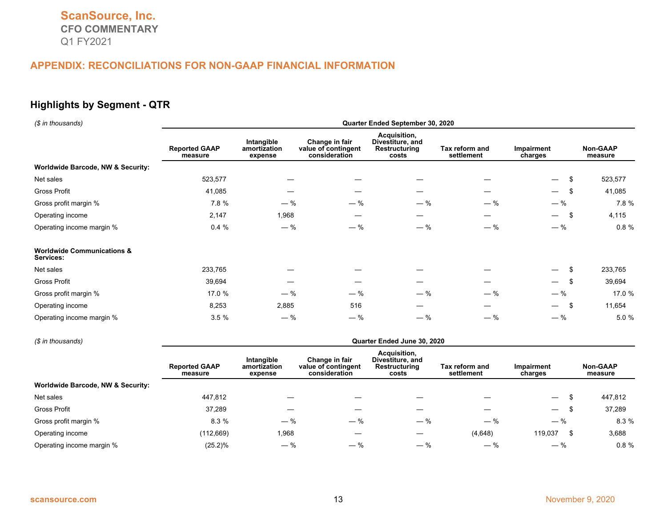#### **Highlights by Segment - QTR**

| (\$ in thousands)                                  | Quarter Ended September 30, 2020 |                                       |                                                        |                                                            |                              |                                 |                     |  |  |  |
|----------------------------------------------------|----------------------------------|---------------------------------------|--------------------------------------------------------|------------------------------------------------------------|------------------------------|---------------------------------|---------------------|--|--|--|
|                                                    | <b>Reported GAAP</b><br>measure  | Intangible<br>amortization<br>expense | Change in fair<br>value of contingent<br>consideration | Acquisition,<br>Divestiture, and<br>Restructuring<br>costs | Tax reform and<br>settlement | Impairment<br>charges           | Non-GAAP<br>measure |  |  |  |
| <b>Worldwide Barcode, NW &amp; Security:</b>       |                                  |                                       |                                                        |                                                            |                              |                                 |                     |  |  |  |
| Net sales                                          | 523,577                          |                                       |                                                        |                                                            |                              | \$<br>$\overline{\phantom{0}}$  | 523,577             |  |  |  |
| Gross Profit                                       | 41,085                           |                                       |                                                        |                                                            |                              | \$<br>$\overline{\phantom{0}}$  | 41,085              |  |  |  |
| Gross profit margin %                              | 7.8 %                            | $-$ %                                 | $-$ %                                                  | $-$ %                                                      | $-$ %                        | $-$ %                           | 7.8 %               |  |  |  |
| Operating income                                   | 2,147                            | 1,968                                 |                                                        | —                                                          |                              | -\$<br>$\overline{\phantom{0}}$ | 4,115               |  |  |  |
| Operating income margin %                          | 0.4%                             | $-$ %                                 | $-$ %                                                  | $-$ %                                                      | $-$ %                        | $-$ %                           | $0.8 \%$            |  |  |  |
| <b>Worldwide Communications &amp;</b><br>Services: |                                  |                                       |                                                        |                                                            |                              |                                 |                     |  |  |  |
| Net sales                                          | 233,765                          |                                       |                                                        |                                                            |                              | -S<br>$\overline{\phantom{0}}$  | 233,765             |  |  |  |
| Gross Profit                                       | 39,694                           |                                       |                                                        |                                                            |                              | -\$<br>$\overline{\phantom{0}}$ | 39,694              |  |  |  |
| Gross profit margin %                              | 17.0 %                           | $-$ %                                 | $-$ %                                                  | $-$ %                                                      | $-$ %                        | $-$ %                           | 17.0 %              |  |  |  |
| Operating income                                   | 8,253                            | 2,885                                 | 516                                                    |                                                            |                              | -\$<br>$\overline{\phantom{0}}$ | 11,654              |  |  |  |
| Operating income margin %                          | 3.5%                             | $-$ %                                 | $-$ %                                                  | $-$ %                                                      | $-$ %                        | $-$ %                           | 5.0 %               |  |  |  |

#### *(\$ in thousands)* **Quarter Ended June 30, 2020 Reported GAAP measure Intangible amortization expense Change in fair value of contingent consideration Acquisition, Divestiture, and Restructuring costs Tax reform and settlement Impairment charges Non-GAAP measure Worldwide Barcode, NW & Security:** Net sales 447,812 — — — — — \$ 447,812 Gross Profit 37,289 — — — — — \$ 37,289 Gross profit margin % 6.3 % 5 % 5 % 5 % 5 % 5 % 5 % 5 % 6.3 % 6.3 % 6.3 % 6.3 % 6.3 % 6.3 % 6.3 % 6.3 % 6.3 % 6.3 % 6.3 % 6.3 % 6.3 % 6.3 % 6.3 % 6.3 % 6.3 % 6.3 % 6.3 % 6.3 % 6.3 % 6.3 % 6.3 % 6.3 % 6.3 % 6.3 % 6.3 % 6.3 Operating income (112,669) 1,968 — — (4,648) 119,037 \$ 3,688 Operating income margin %  $(25.2)$ %  $-$  %  $-$  %  $-$  %  $-$  %  $-$  %  $-$  %  $-$  % 0.8 %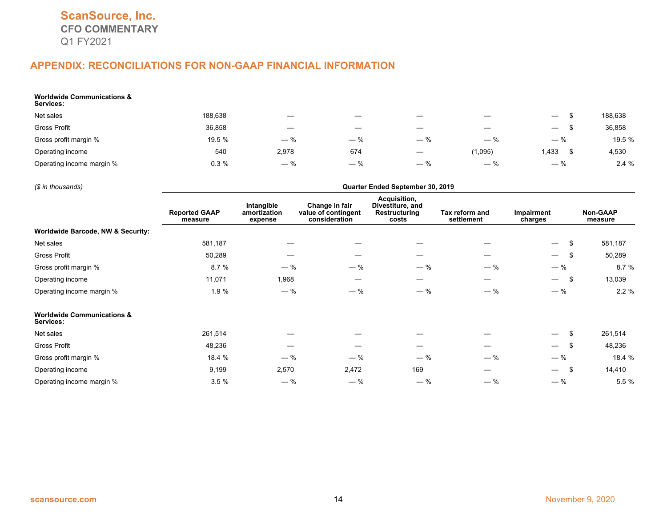| <b>Worldwide Communications &amp;</b><br>Services: |         |                               |                          |                                 |                          |                                 |         |
|----------------------------------------------------|---------|-------------------------------|--------------------------|---------------------------------|--------------------------|---------------------------------|---------|
| Net sales                                          | 188,638 |                               |                          |                                 | $\overline{\phantom{m}}$ | $\hspace{0.1mm}-\hspace{0.1mm}$ | 188,638 |
| Gross Profit                                       | 36,858  | $\overbrace{\phantom{13333}}$ | $\overline{\phantom{m}}$ | $\hspace{0.1mm}-\hspace{0.1mm}$ | $\overline{\phantom{m}}$ | $\hspace{0.1mm}-\hspace{0.1mm}$ | 36,858  |
| Gross profit margin %                              | 19.5 %  | $-$ %                         | $-$ %                    | $-$ %                           | $-$ %                    | $-$ %                           | 19.5 %  |
| Operating income                                   | 540     | 2,978                         | 674                      |                                 | (1,095)                  | 1,433                           | 4,530   |
| Operating income margin %                          | 0.3%    | $-$ %                         | $-$ %                    | $-$ %                           | $-$ %                    | $-$ %                           | 2.4%    |

*(\$ in thousands)* **Quarter Ended September 30, 2019 Reported GAAP measure Intangible amortization expense Change in fair value of contingent consideration Acquisition, Divestiture, and Restructuring costs Tax reform and settlement Impairment charges Non-GAAP measure Worldwide Barcode, NW & Security:** Net sales 581,187 — — — — — \$ 581,187 Gross Profit 50,289 — — — — — \$ 50,289 Gross profit margin % 6.7 % 5.7 % 5.7 % 5.7 % 5.7 % 5.7 % 5.7 % 5.7 % 6.7 % 5.7 % 5.7 % 5.7 % 6.7 % 6.7 % 6.7 % Operating income 11,071 1,968 — — — — \$ 13,039 Operating income margin % 1.9 %  $-$  %  $-$  %  $-$  %  $-$  %  $-$  %  $-$  %  $-$  %  $-$  %  $-$  % 2.2 % **Worldwide Communications & Services:** Net sales 261,514 — — — — — \$ 261,514 Gross Profit 48,236 — — — — — \$ 48,236 Gross profit margin % 18.4 % — % — % — % — % — % 18.4 % Operating income 9,199 2,570 2,472 169 5 14,410 Operating income margin %  $3.5\%$   $-$  %  $-$  %  $-$  %  $-$  %  $-$  %  $-$  %  $-$  %  $-$  %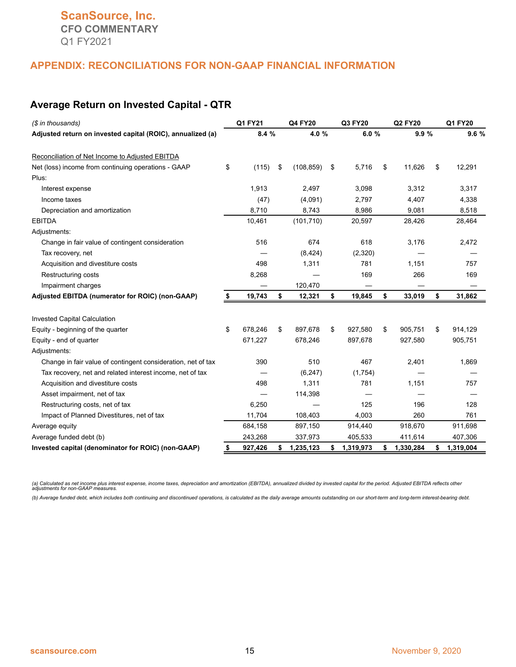#### **Average Return on Invested Capital - QTR**

| (\$ in thousands)                                            |    | Q1 FY21 |    | Q4 FY20    |    | Q3 FY20   |    | Q2 FY20   |    | Q1 FY20   |  |
|--------------------------------------------------------------|----|---------|----|------------|----|-----------|----|-----------|----|-----------|--|
| Adjusted return on invested capital (ROIC), annualized (a)   |    | 8.4%    |    | 4.0%       |    | 6.0%      |    | 9.9%      |    | 9.6%      |  |
| Reconciliation of Net Income to Adjusted EBITDA              |    |         |    |            |    |           |    |           |    |           |  |
| Net (loss) income from continuing operations - GAAP          | \$ | (115)   | \$ | (108, 859) | \$ | 5,716     | \$ | 11,626    | \$ | 12,291    |  |
| Plus:                                                        |    |         |    |            |    |           |    |           |    |           |  |
| Interest expense                                             |    | 1,913   |    | 2,497      |    | 3,098     |    | 3,312     |    | 3,317     |  |
| Income taxes                                                 |    | (47)    |    | (4,091)    |    | 2,797     |    | 4,407     |    | 4,338     |  |
| Depreciation and amortization                                |    | 8,710   |    | 8,743      |    | 8,986     |    | 9,081     |    | 8,518     |  |
| <b>EBITDA</b>                                                |    | 10,461  |    | (101, 710) |    | 20,597    |    | 28,426    |    | 28,464    |  |
| Adjustments:                                                 |    |         |    |            |    |           |    |           |    |           |  |
| Change in fair value of contingent consideration             |    | 516     |    | 674        |    | 618       |    | 3,176     |    | 2,472     |  |
| Tax recovery, net                                            |    |         |    | (8, 424)   |    | (2,320)   |    |           |    |           |  |
| Acquisition and divestiture costs                            |    | 498     |    | 1,311      |    | 781       |    | 1,151     |    | 757       |  |
| Restructuring costs                                          |    | 8,268   |    |            |    | 169       |    | 266       |    | 169       |  |
| Impairment charges                                           |    |         |    | 120,470    |    |           |    |           |    |           |  |
| Adjusted EBITDA (numerator for ROIC) (non-GAAP)              | \$ | 19,743  | \$ | 12,321     | \$ | 19,845    | \$ | 33,019    | \$ | 31,862    |  |
| <b>Invested Capital Calculation</b>                          |    |         |    |            |    |           |    |           |    |           |  |
| Equity - beginning of the quarter                            | \$ | 678.246 | \$ | 897,678    | \$ | 927,580   | \$ | 905,751   | \$ | 914,129   |  |
| Equity - end of quarter                                      |    | 671,227 |    | 678,246    |    | 897,678   |    | 927,580   |    | 905,751   |  |
| Adjustments:                                                 |    |         |    |            |    |           |    |           |    |           |  |
| Change in fair value of contingent consideration, net of tax |    | 390     |    | 510        |    | 467       |    | 2,401     |    | 1,869     |  |
| Tax recovery, net and related interest income, net of tax    |    |         |    | (6, 247)   |    | (1,754)   |    |           |    |           |  |
| Acquisition and divestiture costs                            |    | 498     |    | 1,311      |    | 781       |    | 1,151     |    | 757       |  |
| Asset impairment, net of tax                                 |    |         |    | 114,398    |    |           |    |           |    |           |  |
| Restructuring costs, net of tax                              |    | 6,250   |    |            |    | 125       |    | 196       |    | 128       |  |
| Impact of Planned Divestitures, net of tax                   |    | 11,704  |    | 108,403    |    | 4,003     |    | 260       |    | 761       |  |
| Average equity                                               |    | 684,158 |    | 897,150    |    | 914,440   |    | 918,670   |    | 911,698   |  |
| Average funded debt (b)                                      |    | 243,268 |    | 337,973    |    | 405,533   |    | 411,614   |    | 407,306   |  |
| Invested capital (denominator for ROIC) (non-GAAP)           | \$ | 927,426 | S. | 1,235,123  | \$ | 1,319,973 | \$ | 1,330,284 | S  | 1,319,004 |  |

(a) Calculated as net income plus interest expense, income taxes, depreciation and amortization (EBITDA), annualized divided by invested capital for the period. Adjusted EBITDA reflects other<br>adjustments for non-GAAP measu

*(b) Average funded debt, which includes both continuing and discontinued operations, is calculated as the daily average amounts outstanding on our short-term and long-term interest-bearing debt.*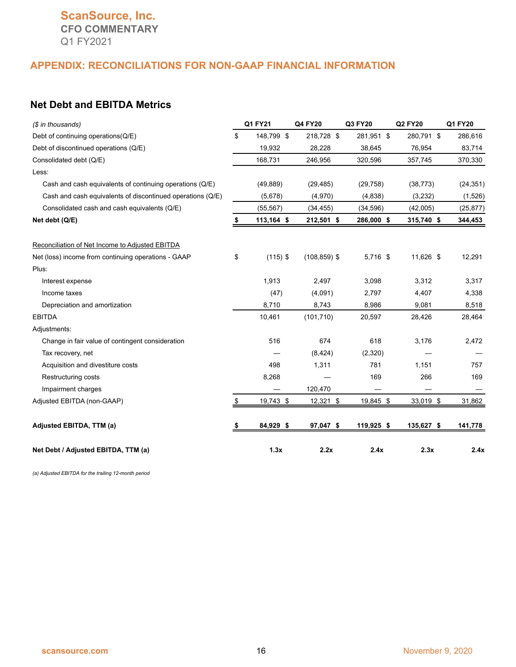# **ScanSource, Inc. CFO COMMENTARY** Q1 FY2021

#### **APPENDIX: RECONCILIATIONS FOR NON-GAAP FINANCIAL INFORMATION**

#### **Net Debt and EBITDA Metrics**

| (\$ in thousands)                                          | Q1 FY21          | Q4 FY20         | Q3 FY20    | <b>Q2 FY20</b> | Q1 FY20   |
|------------------------------------------------------------|------------------|-----------------|------------|----------------|-----------|
| Debt of continuing operations(Q/E)                         | \$<br>148,799 \$ | 218,728 \$      | 281,951 \$ | 280,791 \$     | 286,616   |
| Debt of discontinued operations (Q/E)                      | 19,932           | 28,228          | 38,645     | 76,954         | 83,714    |
| Consolidated debt (Q/E)                                    | 168,731          | 246,956         | 320,596    | 357,745        | 370,330   |
| Less:                                                      |                  |                 |            |                |           |
| Cash and cash equivalents of continuing operations (Q/E)   | (49, 889)        | (29, 485)       | (29, 758)  | (38, 773)      | (24, 351) |
| Cash and cash equivalents of discontinued operations (Q/E) | (5,678)          | (4,970)         | (4,838)    | (3,232)        | (1,526)   |
| Consolidated cash and cash equivalents (Q/E)               | (55, 567)        | (34, 455)       | (34, 596)  | (42,005)       | (25, 877) |
| Net debt (Q/E)                                             | 113,164 \$       | 212,501 \$      | 286,000 \$ | 315,740 \$     | 344,453   |
| Reconciliation of Net Income to Adjusted EBITDA            |                  |                 |            |                |           |
| Net (loss) income from continuing operations - GAAP        | \$<br>$(115)$ \$ | $(108, 859)$ \$ | 5,716 \$   | 11,626 \$      | 12,291    |
| Plus:                                                      |                  |                 |            |                |           |
| Interest expense                                           | 1,913            | 2,497           | 3,098      | 3,312          | 3,317     |
| Income taxes                                               | (47)             | (4,091)         | 2,797      | 4,407          | 4,338     |
| Depreciation and amortization                              | 8,710            | 8,743           | 8,986      | 9,081          | 8,518     |
| <b>EBITDA</b>                                              | 10,461           | (101, 710)      | 20,597     | 28,426         | 28,464    |
| Adjustments:                                               |                  |                 |            |                |           |
| Change in fair value of contingent consideration           | 516              | 674             | 618        | 3,176          | 2,472     |
| Tax recovery, net                                          |                  | (8, 424)        | (2,320)    |                |           |
| Acquisition and divestiture costs                          | 498              | 1,311           | 781        | 1,151          | 757       |
| Restructuring costs                                        | 8,268            |                 | 169        | 266            | 169       |
| Impairment charges                                         |                  | 120,470         |            |                |           |
| Adjusted EBITDA (non-GAAP)                                 | \$<br>19,743 \$  | 12,321 \$       | 19,845 \$  | 33,019 \$      | 31,862    |
| Adjusted EBITDA, TTM (a)                                   | 84,929 \$        | 97,047 \$       | 119,925 \$ | 135,627 \$     | 141,778   |
| Net Debt / Adjusted EBITDA, TTM (a)                        | 1.3x             | 2.2x            | 2.4x       | 2.3x           | 2.4x      |

*(a) Adjusted EBITDA for the trailing 12-month period*